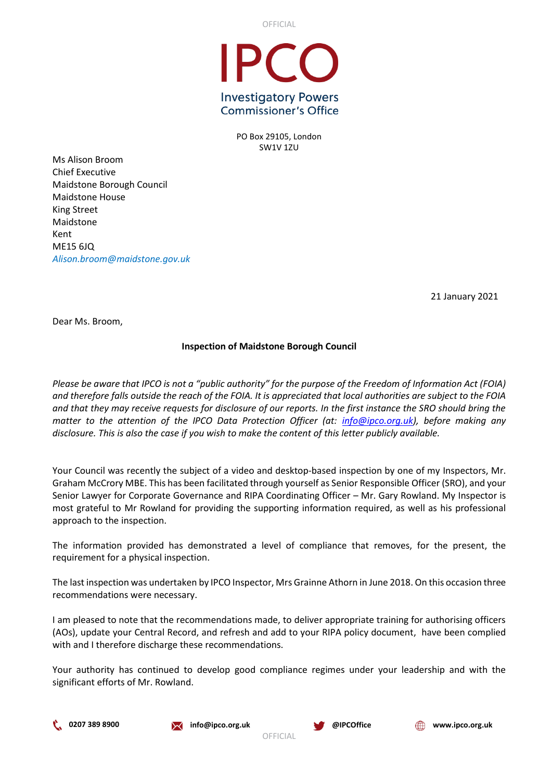OFFICIAL



PO Box 29105, London SW1V 1ZU

Ms Alison Broom Chief Executive Maidstone Borough Council Maidstone House King Street Maidstone Kent ME15 6JQ *Alison.broom@maidstone.gov.uk*

21 January 2021

Dear Ms. Broom,

## **Inspection of Maidstone Borough Council**

*Please be aware that IPCO is not a "public authority" for the purpose of the Freedom of Information Act (FOIA) and therefore falls outside the reach of the FOIA. It is appreciated that local authorities are subject to the FOIA and that they may receive requests for disclosure of our reports. In the first instance the SRO should bring the matter to the attention of the IPCO Data Protection Officer (at: [info@ipco.org.uk\)](mailto:info@ipco.org.uk), before making any disclosure. This is also the case if you wish to make the content of this letter publicly available.*

Your Council was recently the subject of a video and desktop-based inspection by one of my Inspectors, Mr. Graham McCrory MBE. This has been facilitated through yourself as Senior Responsible Officer (SRO), and your Senior Lawyer for Corporate Governance and RIPA Coordinating Officer – Mr. Gary Rowland. My Inspector is most grateful to Mr Rowland for providing the supporting information required, as well as his professional approach to the inspection.

The information provided has demonstrated a level of compliance that removes, for the present, the requirement for a physical inspection.

The last inspection was undertaken by IPCO Inspector, Mrs Grainne Athorn in June 2018. On this occasion three recommendations were necessary.

I am pleased to note that the recommendations made, to deliver appropriate training for authorising officers (AOs), update your Central Record, and refresh and add to your RIPA policy document, have been complied with and I therefore discharge these recommendations.

Your authority has continued to develop good compliance regimes under your leadership and with the significant efforts of Mr. Rowland.



**0207 389 8900 info@ipco.org.uk @IPCOffice [www.ipco.org.uk](https://www.ipco.org.uk/)**





OFFICIAL